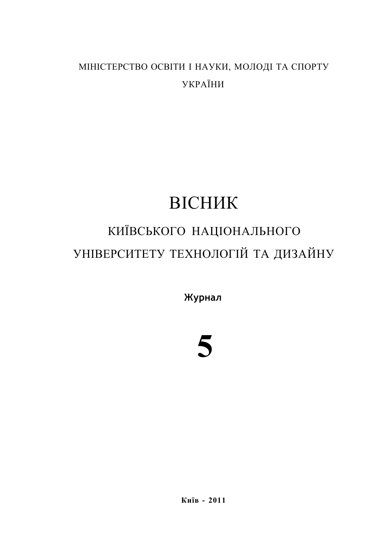МІНІСТЕРСТВО ОСВІТИ І НАУКИ, МОЛОДІ ТА СПОРТУ УКРАЇНИ

# ВІСНИК

# КИЇВСЬКОГО НАЦІОНАЛЬНОГО УНІВЕРСИТЕТУ ТЕХНОЛОГІЙ ТА ДИЗАЙНУ

**Журнал**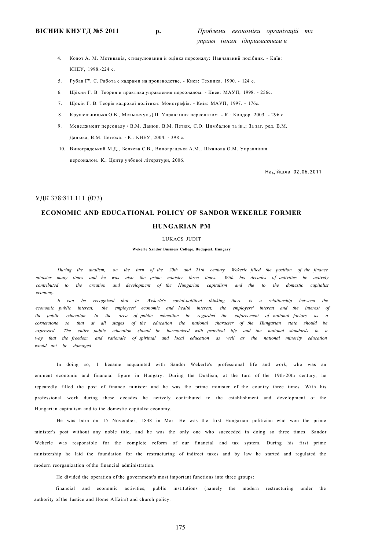- 4. Колот А. М. Мотивація, стимулювання й оцінка персоналу: Навчальний посібник. Київ: КНЕУ, 1998.-224 с.
- 5. Рубан Г". С. Работа с кадрами на производстве. Киев: Техника, 1990. 124 с.
- 6. Щёкин Г. В. Теория и практика управления персоналом. Киев: МАУП, 1998. 256с.
- 7. Щокін Г. В. Теорія кадрової політики: Монографія. Київ: МАУП, 1997. 176с.
- 8. Крушельницька О.В., Мельничук Д.П. Управління персоналом. К.: Кондор. 2003. 296 с.
- 9. Менеджмент персоналу / В.М. Данюк, В.М. Петюх, С.О. Цимбалюк та ін..; За заг. ред. В.М. Данюка, В.М. Петюха. - К.: КНЕУ, 2004. - 398 с.

10. Виноградський М.Д., Беляева С.В., Виноградська A.M., Шканова О.М. Управління персоналом. К., Центр учбової літератури, 2006.

Надійшла 02.06.2011

#### УДК 378:811.111 (073)

#### **ECONOMIC AND EDUCATIONAL POLICY OF SANDOR WEKERLE FORMER**

#### **HUNGARIAN PM**

#### LUKACS JUDIT

#### **Wekerle Sandor Business College, Budapest, Hungary**

*During the dualism, on the turn of the 20th and 21th century Wekerle filled the position of the finance minister many times and he was also the prime minister three times. With his decades of activities he actively contributed to the creation and development of the Hungarian capitalism and the to the domestic capitalist economy.* 

*It can be recognized that in Wekerle's social-political thinking there is a relationship between the economic public interest, the employees' economic and health interest, the employers' interest and the interest of the public education. In the area of public education he regarded the enforcement of national factors as a cornerstone so that at all stages of the education the national character of the Hungarian state should be expressed. The entire public education should be harmonized with practical life and the national standards in a way that the freedom and rationale of spiritual and local education as well as the national minority education would not be damaged* 

In doing so, 1 became acquainted with Sandor Wekerle's professional life and work, who was an eminent economic and financial figure in Hungary. During the Dualism, at the turn of the 19th-20th century, he repeatedly filled the post of finance minister and he was the prime minister of the country three times. With his professional work during these decades he actively contributed to the establishment and development of the Hungarian capitalism and to the domestic capitalist economy.

He was born on 15 November, 1848 in Mor. He was the first Hungarian politician who won the prime minister's post without any noble title, and he was the only one who succeeded in doing so three times. Sandor Wekerle was responsible for the complete reform of our financial and tax system. During his first prime ministership he laid the foundation for the restructuring of indirect taxes and by law he started and regulated the modern reorganization of the financial administration.

He divided the operation of the government's most important functions into three groups:

financial and economic activities, public institutions (namely the modern restructuring under the authority of the Justice and Home Affairs) and church policy.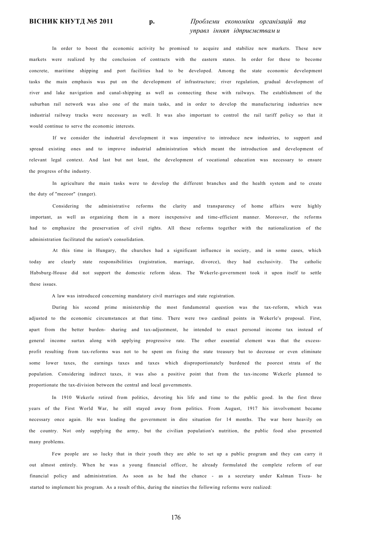In order to boost the economic activity he promised to acquire and stabilize new markets. These new markets were realized by the conclusion of contracts with the eastern states. In order for these to become concrete, maritime shipping and port facilities had to be developed. Among the state economic development tasks the main emphasis was put on the development of infrastructure; river regulation, gradual development of river and lake navigation and canal-shipping as well as connecting these with railways. The establishment of the suburban rail network was also one of the main tasks, and in order to develop the manufacturing industries new industrial railway tracks were necessary as well. It was also important to control the rail tariff policy so that it would continue to serve the economic interests.

If we consider the industrial development it was imperative to introduce new industries, to support and spread existing ones and to improve industrial administration which meant the introduction and development of relevant legal context. And last but not least, the development of vocational education was necessary to ensure the progress of the industry.

In agriculture the main tasks were to develop the different branches and the health system and to create the duty of "mezoor" (ranger).

Considering the administrative reforms the clarity and transparency of home affairs were highly important, as well as organizing them in a more inexpensive and time-efficient manner. Moreover, the reforms had to emphasize the preservation of civil rights. All these reforms together with the nationalization of the administration facilitated the nation's consolidation.

At this time in Hungary, the churches had a significant influence in society, and in some cases, which today are clearly state responsibilities (registration, marriage, divorce), they had exclusivity. The catholic Habsburg-House did not support the domestic reform ideas. The Wekerle-government took it upon itself to settle these issues.

A law was introduced concerning mandatory civil marriages and state registration.

During his second prime ministership the most fundamental question was the tax-reform, which was adjusted to the economic circumstances at that time. There were two cardinal points in Wekerle's proposal. First, apart from the better burden- sharing and tax-adjustment, he intended to enact personal income tax instead of general income surtax along with applying progressive rate. The other essential element was that the excessprofit resulting from tax-reforms was not to be spent on fixing the state treasury but to decrease or even eliminate some lower taxes, the earnings taxes and taxes which disproportionately burdened the poorest strata of the population. Considering indirect taxes, it was also a positive point that from the tax-income Wekerle planned to proportionate the tax-division between the central and local governments.

In 1910 Wekerle retired from politics, devoting his life and time to the public good. In the first three years of the First World War, he still stayed away from politics. From August, 1917 his involvement became necessary once again. He was leading the government in dire situation for 14 months. The war bore heavily on the country. Not only supplying the army, but the civilian population's nutrition, the public food also presented many problems.

Few people are so lucky that in their youth they are able to set up a public program and they can carry it out almost entirely. When he was a young financial officer, he already formulated the complete reform of our financial policy and administration. As soon as he had the chance - as a secretary under Kalman Tisza- he started to implement his program. As a result of this, during the nineties the following reforms were realized: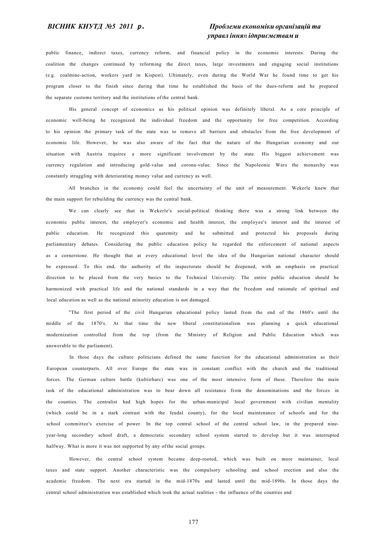public finance, indirect taxes, currency reform, and financial policy in the economic interests. During the coalition the changes continued by reforming the direct taxes, large investments and engaging social institutions (e.g. coalmine-action, workers yard in Kispest). Ultimately, even during the World War he found time to get his program closer to the finish since during that time he established the basis of the dues-reform and he prepared the separate customs territory and the institutions of the central bank.

His general concept of economics as his political opinion was definitely liberal. As a core principle of economic well-being he recognized the individual freedom and the opportunity for free competition. According to his opinion the primary task of the state was to remove all barriers and obstacles from the free development of economic life. However, he was also aware of the fact that the nature of the Hungarian economy and our situation with Austria requires a more significant involvement by the state. His biggest achievement was currency regulation and introducing gold-value and corona-value. Since the Napoleonic Wars the monarchy was constantly struggling with deteriorating money value and currency as well.

All branches in the economy could feel the uncertainty of the unit of measurement. Wekerle knew that the main support for rebuilding the currency was the central bank.

We can clearly see that in Wekerle's social-political thinking there was a strong link between the economic public interest, the employer's economic and health interest, the employee's interest and the interest of public education. He recognized this quatemity and he submitted and protected his proposals during parliamentary debates. Considering the public education policy he regarded the enforcement of national aspects as a cornerstone. He thought that at every educational level the idea of the Hungarian national character should be expressed. To this end, the authority of the inspectorate should be deepened, with an emphasis on practical direction to be placed from the very basics to the Technical University. The entire public education should be harmonized with practical life and the national standards in a way that the freedom and rationale of spiritual and local education as well as the national minority education is not damaged.

"The first period of the civil Hungarian educational policy lasted from the end of the 1860's until the middle of the 1870's. At that time the new liberal constitutionalism was planning a quick educational modernization controlled from the top (from the Ministry of Religion and Public Education which was answerable to the parliament).

In those days the culture politicians defined the same function for the educational administration as their European counterparts. All over Europe the state was in constant conflict with the church and the traditional forces. The German culture battle (kultiirharc) was one of the most intensive form of these. Therefore the main task of the educational administration was to bear down all resistance from the denominations and the forces in the counties. The centralist had high hopes for the urban-municipal local government with civilian mentality (which could be in a stark contrast with the feudal county), for the local maintenance of schools and for the school committee's exercise of power. In the top central school of the central school law, in the prepared nineyear-long secondary school draft, a democratic secondary school system started to develop but it was interrupted halfway. What is more it was not supported by any of the social groups.

However, the central school system became deep-rooted, which was built on more maintainer, local taxes and state support. Another characteristic was the compulsory schooling and school erection and also the academic freedom. The next era started in the mid-1870s and lasted until the mid-1890s. In those days the central school administration was established which took the actual realities - the influence of the counties and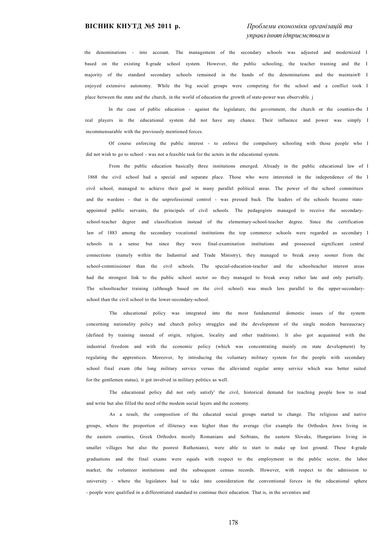the denominations - into account. The management of the secondary schools was adjusted and modernized based on the existing 8-grade school system. However, the public schooling, the teacher training and the I majority of the standard secondary schools remained in the hands of the denominations and the maintain® I enjoyed extensive autonomy. While the big social groups were competing for the school and a conflict took I place between the state and the church, in the world of education the growth of state-power was observable. j

In the case of public education - against the legislature, the government, the church or the counties-the I real players in the educational system did not have any chance. Their influence and power was simply I incommensurable with the previously mentioned forces.

Of course enforcing the public interest - to enforce the compulsory schooling with those people who I did not wish to go to school - was not a feasible task for the actors in the educational system.

From the public education basically three institutions emerged. Already in the public educational law of I 1868 the civil school had a special and separate place. Those who were interested in the independence of the I civil school, managed to achieve their goal in many parallel political areas. The power of the school committees and the wardens - that is the unprofessional control - was pressed back. The leaders of the schools became stateappointed public servants, the principals of civil schools. The pedagogists managed to receive the secondaryschool-teacher degree and classification instead of the elementary-school-teacher degree. Since the certification law of 1883 among the secondary vocational institutions the top commerce schools were regarded as secondary I schools in a sense but since they were final-examination institutions and possessed significant central connections (namely within the Industrial and Trade Ministry), they managed to break away sooner from the school-commissioner than the civil schools. The special-education-teacher and the schoolteacher interest areas had the strongest link to the public school sector so they managed to break away rather late and only partially. The schoolteacher training (although based on the civil school) was much less parallel to the upper-secondaryschool than the civil school to the lower-secondary-school.

The educational policy was integrated into the most fundamental domestic issues of the system concerning nationality policy and church policy struggles and the development of the single modem bureaucracy (defined by training instead of origin, religion, locality and other traditions). It also got acquainted with the industrial freedom and with the economic policy (which was concentrating mainly on state development) by regulating the apprentices. Moreover, by introducing the voluntary military system for the people with secondary school final exam (the long military service versus the alleviated regular army service which was better suited for the gentlemen status), it got involved in military politics as well.

The educational policy did not only satisfy' the civil, historical demand for teaching people how to read and write but also filled the need of the modem social layers and the economy.

As a result, the composition of the educated social groups started to change. The religious and native groups, where the proportion of illiteracy was higher than the average (for example the Orthodox Jews living in the eastern counties, Greek Orthodox mostly Romanians and Serbians, the eastern Slovaks, Hungarians living in smaller villages but also the poorest Ruthenians), were able to start to make up lost ground. These 4-grade graduations and the final exams were equals with respect to the employment in the public sector, the labor market, the volunteer institutions and the subsequent census records. However, with respect to the admission to university - where the legislators had to take into consideration the conventional forces in the educational sphere - people were qualified in a differentiated standard to continue their education. That is, in the seventies and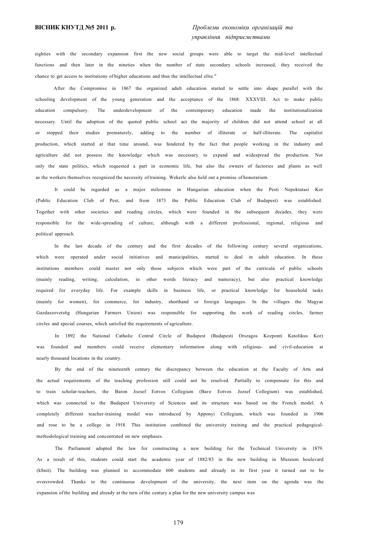eighties with the secondary expansion first the new social groups were able to target the mid-level intellectual functions and then later in the nineties when the number of state secondary schools increased, they received the chance to get access to institutions of higher educations and thus the intellectual elite."

After the Compromise in 1867 the organized adult education started to settle into shape parallel with the schooling development of the young generation and the acceptance of the 1868: XXXVIII. Act to make public education compulsory. The underdevelopment of the contemporary education made the institutionalization necessary. Until the adoption of the quoted public school act the majority of children did not attend school at all or stopped their studies prematurely, adding to the number of illiterate or half-illiterate. The capitalist production, which started at that time around, was hindered by the fact that people working in the industry and agriculture did not possess the knowledge which was necessary to expand and widespread the production. Not only the state politics, which requested a part in economic life, but also the owners of factories and plants as well as the workers themselves recognized the necessity of training. Wekerle also held out a promise of honorarium.

It could be regarded as a major milestone in Hungarian education when the Pesti Nepoktatasi Kor (Public Education Club of Pest, and from 1873 the Public Education Club of Budapest) was established. Together with other societies and reading circles, which were founded in the subsequent decades, they were responsible for the wide-spreading of culture, although with a different professional, regional, religious and political approach.

In the last decade of the century and the first decades of the following century several organizations, which were operated under social initiatives and municipalities, started to deal in adult education. In these institutions members could master not only those subjects which were part of the curricula of public schools (mainly reading, writing, calculation, in other words literacy and numeracy), but also practical knowledge required for everyday life. For example skills in business life, or practical knowledge for household tasks (mainly for women), for commerce, for industry, shorthand or foreign languages. In the villages the Magyar Gazdaszovets6g (Hungarian Farmers Union) was responsible for supporting the work of reading circles, farmer circles and special courses, which satisfied the requirements of agriculture.

In 1892 the National Catholic Central Circle of Budapest (Budapesti Orszagos Kozponti Katolikus Kor) was founded and members could receive elementary information along with religious- and civil-education at nearly thousand locations in the country.

By the end of the nineteenth century the discrepancy between the education at the Faculty of Arts and the actual requirements of the teaching profession still could not be resolved. Partially to compensate for this and to train scholar-teachers, the Baron Jozsef Eotvos Collegium (Ваго Eotvos Jozsef Collegium) was established, which was connected to the Budapest University of Sciences and its structure was based on the French model. A completely different teacher-training model was introduced by Apponyi Collegium, which was founded in 1906 and rose to be a college in 1918. This institution combined the university training and the practical pedagogicalmethodological training and concentrated on new emphases.

The Parliament adopted the law for constructing a new building for the Technical University in 1879. As a result of this, students could start the academic year of 1882/83 in the new building in Muzeum boulevard (kSnit). The building was planned to accommodate 600 students and already in its first year it turned out to be overcrowded. Thanks to the continuous development of the university, the next item on the agenda was the expansion of the building and already at the turn of the century a plan for the new university campus was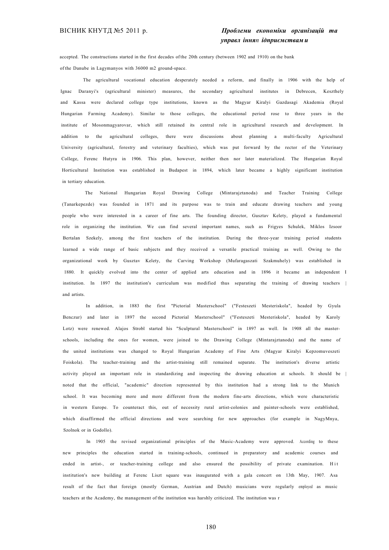accepted. The constructions started in the first decades of the 20th century (between 1902 and 1910) on the bank of the Danube in Lagymanyos with 36000 m2 ground-space.

The agricultural vocational education desperately needed a reform, and finally in 1906 with the help of Ignac Daranyi's (agricultural minister) measures, the secondary agricultural institutes in Debrecen, Keszthely and Kassa were declared college type institutions, known as the Magyar Kiralyi Gazdasagi Akademia (Royal Hungarian Farming Academy). Similar to those colleges, the educational period rose to three years in the institute of Mosonmagyarovar, which still retained its central role in agricultural research and development. In addition to the agricultural colleges, there were discussions about planning a multi-faculty Agricultural University (agricultural, forestry and veterinary faculties), which was put forward by the rector of the Veterinary College, Ferenc Hutyra in 1906. This plan, however, neither then nor later materialized. The Hungarian Royal Horticultural Institution was established in Budapest in 1894, which later became a highly significant institution in tertiary education.

The National Hungarian Royal Drawing College (Mintarajztanoda) and Teacher Training College (Tanarkepezde) was founded in 1871 and its purpose was to train and educate drawing teachers and young people who were interested in a career of fine arts. The founding director, Gusztav Kelety, played a fundamental role in organizing the institution. We can find several important names, such as Frigyes Schulek, Miklos Izsoor Bertalan Szekely, among the first teachers of the institution. During the three-year training period students learned a wide range of basic subjects and they received a versatile practical training as well. Owing to the organizational work by Gusztav Kelety, the Carving Workshop (Mufaragaszati Szakmuhely) was established in 1880. It quickly evolved into the center of applied arts education and in 1896 it became an independent I institution. In 1897 the institution's curriculum was modified thus separating the training of drawing teachers and artists.

In addition, in 1883 the first "Pictorial Masterschool" ("Festeszeti Mesteriskola", headed by Gyula Benczur) and later in 1897 the second Pictorial Masterschool" ("Festeszeti Mesteriskola", headed by Karoly Lotz) were renewed. Alajos Strobl started his "Sculptural Masterschool" in 1897 as well. In 1908 all the masterschools, including the ones for women, were joined to the Drawing College (Mintarajztanoda) and the name of the united institutions was changed to Royal Hungarian Academy of Fine Arts (Magyar Kiralyi Kepzomuveszeti Foiskola). The teacher-training and the artist-training still remained separate. The institution's diverse artistic activity played an important role in standardizing and inspecting the drawing education at schools. It should be | noted that the official, "academic" direction represented by this institution had a strong link to the Munich school. It was becoming more and more different from the modern fine-arts directions, which were characteristic in western Europe. To counteract this, out of necessity rural artist-colonies and painter-schools were established, which disaffirmed the official directions and were searching for new approaches (for example in NagyMnya, Szolnok or in Godollo).

In 1905 the revised organizational principles of the Music-Academy were approved. According to these new principles the education started in training-schools, continued in preparatory and academic courses and ended in artist-, or teacher-training college and also ensured the possibility of private examination. Hit institution's new building at Ferenc Liszt square was inaugurated with a gala concert on 13th May, 1907. Asa result of the fact that foreign (mostly German, Austrian and Dutch) musicians were regularly employed as music teachers at the Academy, the management of the institution was harshly criticized. The institution was r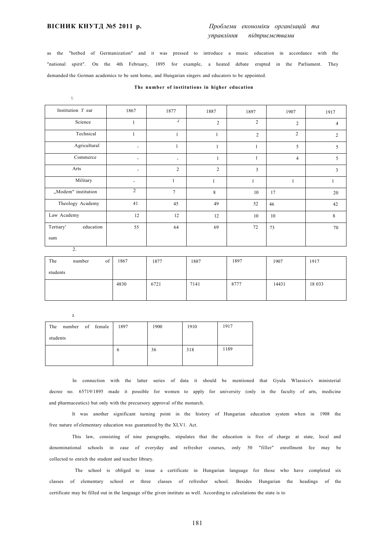as the "hotbed of Germanization" and it was pressed to introduce a music education in accordance with the "national spirit". On the 4th February, 1895 for example, a heated debate erupted in the Parliament. They demanded the German academics to be sent home, and Hungarian singers and educators to be appointed.

#### **The number of institutions in higher education**

1 .

| Institution $Y$ ear    | 1867                     | 1877                     | 1887           | 1897           | 1907           | 1917           |
|------------------------|--------------------------|--------------------------|----------------|----------------|----------------|----------------|
| Science                | $\mathbf{1}$             | J                        | $\overline{2}$ | 2              | $\overline{2}$ | $\overline{4}$ |
| Technical              |                          | 1                        | $\mathbf{1}$   | $\overline{c}$ | $\overline{2}$ | 2              |
| Agricultural           | $\overline{\phantom{a}}$ | 1                        | $\mathbf{1}$   |                | 5              | 5              |
| Commerce               | $\overline{\phantom{a}}$ | $\overline{\phantom{a}}$ | $\mathbf{1}$   | $\mathbf{1}$   | $\overline{4}$ | 5              |
| Arts                   | $\overline{\phantom{a}}$ | 2                        | 2              | $\overline{3}$ |                | $\overline{3}$ |
| Military               |                          | 1                        |                | $\mathbf{1}$   | $\mathbf{1}$   |                |
| "Modem" institution    | $\overline{2}$           | $\tau$                   | 8              | 10             | 17             | 20             |
| Theology Academy       | 41                       | 45                       | 49             | 52             | 46             | 42             |
| Law Academy            | 12                       | 12                       | 12             | 10             | 10             | 8              |
| Tertiary'<br>education | 55                       | 64                       | 69             | 72             | 73             | 70             |
| sum                    |                          |                          |                |                |                |                |
| 2.                     |                          |                          |                |                |                |                |

| The      | number | of | 1867 | 1877 | 1887 | 1897 | 1907  | 1917   |
|----------|--------|----|------|------|------|------|-------|--------|
| students |        |    |      |      |      |      |       |        |
|          |        |    | 4830 | 6721 | 7141 | 8777 | 14431 | 18 033 |
|          |        |    |      |      |      |      |       |        |

*3.* 

| number of female 1897<br>The |            | 1900 | 1910 | 1917 |
|------------------------------|------------|------|------|------|
| students                     |            |      |      |      |
|                              | $\epsilon$ | 36   | 318  | 1189 |
|                              |            |      |      |      |

In connection with the latter series of data it should be mentioned that Gyula Wlassics's ministerial decree no. 65719/1895 made it possible for women to apply for university (only in the faculty of arts, medicine and pharmaceutics) but only with the precursory approval of the monarch.

It was another significant turning point in the history of Hungarian education system when in 1908 the free nature of elementary education was guaranteed by the XLV1. Act.

This law, consisting of nine paragraphs, stipulates that the education is free of charge at state, local and denominational schools in case of everyday and refresher courses, only 50 "filler" enrollment fee may be collected to enrich the student and teacher library.

The school is obliged to issue a certificate in Hungarian language for those who have completed six classes of elementary school or three classes of refresher school. Besides Hungarian the headings of the certificate may be filled out in the language of the given institute as well. According to calculations the state is to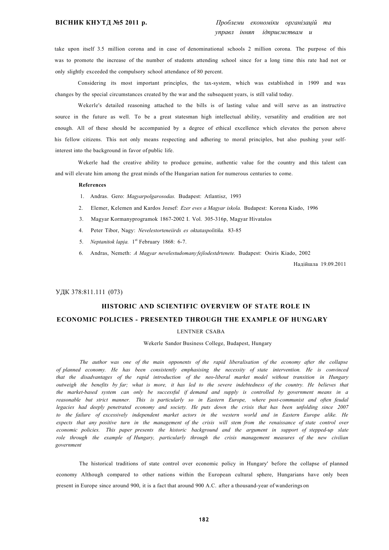take upon itself 3.5 million corona and in case of denominational schools 2 million corona. The purpose of this was to promote the increase of the number of students attending school since for a long time this rate had not or only slightly exceeded the compulsory school attendance of 80 percent.

Considering its most important principles, the tax-system, which was established in 1909 and was changes by the special circumstances created by the war and the subsequent years, is still valid today.

Wekerle's detailed reasoning attached to the bills is of lasting value and will serve as an instructive source in the future as well. To be a great statesman high intellectual ability, versatility and erudition are not enough. All of these should be accompanied by a degree of ethical excellence which elevates the person above his fellow citizens. This not only means respecting and adhering to moral principles, but also pushing your selfinterest into the background in favor of public life.

Wekerle had the creative ability to produce genuine, authentic value for the country and this talent can and will elevate him among the great minds of the Hungarian nation for numerous centuries to come.

#### **References**

- 1. Andras. Gero: *Magyarpolgarosodas.* Budapest: Atlantisz, 1993
- 2. Elemer, Kelemen and Kardos Jozsef: *Ezer eves a Magyar iskola.* Budapest: Korona Kiado, 1996
- 3. Magyar Kormanyprogramok 1867-2002 I. Vol. 305-316p, Magyar Hivatalos
- 4. Peter Tibor, Nagy: *Nevelestorteneiirds es oktataspolitika.* 83-85
- 5. Neptanitok lapja. 1<sup>st</sup> February 1868: 6-7.
- 6. Andras, Nemeth: *A Magyar nevelestudomany fejlodestdrtenete.* Budapest: Osiris Kiado, 2002

Надійшла 19.09.2011

#### УДК 378:811.111 (073)

## **HISTORIC AND SCIENTIFIC OVERVIEW OF STATE ROLE IN ECONOMIC POLICIES - PRESENTED THROUGH THE EXAMPLE OF HUNGARY**

#### LENTNER CSABA

Wekerle Sandor Business College, Budapest, Hungary

*The author was one of the main opponents of the rapid liberalisation of the economy after the collapse of planned economy. He has been consistently emphasising the necessity of state intervention. He is convinced that the disadvantages of the rapid introduction of the neo-liberal market model without transition in Hungary outweigh the benefits by far; what is more, it has led to the severe indebtedness of the country. He believes that the market-based system can only be successful if demand and supply is controlled by government means in a*  reasonable but strict manner. This is particularly so in Eastern Europe, where post-communist and often feudal *legacies had deeply penetrated economy and society. He puts down the crisis that has been unfolding since 2007 to the failure of excessively independent market actors in the western world and in Eastern Europe alike. He expects that any positive turn in the management of the crisis will stem from the renaissance of state control over economic policies. This paper presents the historic background and the argument in support of stepped-up slate role through the example of Hungary, particularly through the crisis management measures of the new civilian government* 

The historical traditions of state control over economic policy in Hungary' before the collapse of planned economy Although compared to other nations within the European cultural sphere, Hungarians have only been present in Europe since around 900, it is a fact that around 900 A.C. after a thousand-year of wanderings on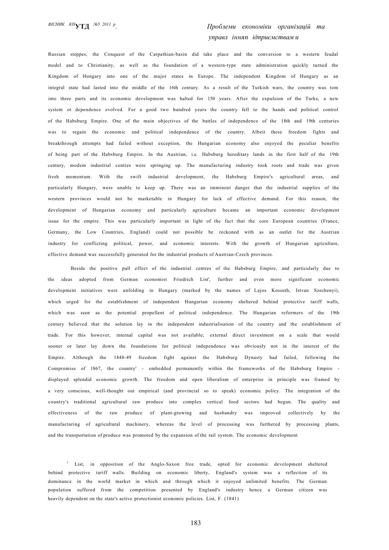## *. Проблеми економіки організацій та управл інняп ідприємствам и*

Russian steppes, the Conquest of the Carpathian-basin did take place and the conversion to a western feudal model and to Christianity, as well as the foundation of a western-type state administration quickly turned the Kingdom of Hungary into one of the major states in Europe. The independent Kingdom of Hungary as an integral state had lasted into the middle of the 16th century. As a result of the Turkish wars, the country was tom into three parts and its economic development was halted for 150 years. After the expulsion of the Turks, a new system ot dependence evolved. For a good two hundred years the country fell to the hands and political control of the Habsburg Empire. One of the main objectives of the battles of independence of the 18th and 19th centuries was to regain the economic and political independence of the country. Albeit these freedom fights and breakthrough attempts had failed without exception, the Hungarian economy also enjoyed the peculiar benefits of being part of the Habsburg Empire. In the Austrian, i.e. Habsburg hereditary lands in the first half of the 19th century, modem industrial centres were springing up. The manufacturing industry took roots and trade was given fresh momentum. With the swift industrial development, the Habsburg Empire's agricultural areas, and particularly Hungary, were unable to keep up. There was an imminent danger that the industrial supplies of the western provinces would not be marketable in Hungary for lack of effective demand. For this reason, the development of Hungarian economy and particularly agriculture became an important economic development issue for the empire. This was particularly important in light of the fact that the core European countries (France, Germany, the Low Countries, England) could not possible be reckoned with as an outlet for the Austrian industry for conflicting political, power, and economic interests. With the growth of Hungarian agriculture, effective demand was successfully generated for the industrial products of Austrian-Czech provinces.

Beside the positive pull effect of the industrial centres of the Habsburg Empire, and particularly due to the ideas adopted from German economist Friedrich List', further and even more significant economic development initiatives were unfolding in Hungary (marked by the names of Lajos Kossuth, Istvan Szechenyi), which urged for the establishment of independent Hungarian economy sheltered behind protective tariff walls, which was seen as the potential propellent of political independence. The Hungarian reformers of the 19th century believed that the solution lay in the independent industrialisation of the country and the establishment of trade. For this however, internal capital was not available; external direct investment on a scale that would sooner or later lay down the foundations for political independence was obviously not in the interest of the Empire. Although the 1848-49 freedom fight against the Habsburg Dynasty had failed, following the Compromise of 1867, the country' - embedded permanently within the frameworks of the Habsburg Empire displayed splendid economic growth. The freedom and open liberalism of enterprise in principle was framed by a very conscious, well-thought out empirical (and provincial so to speak) economic policy. The integration of the country's traditional agricultural raw produce into complex vertical food sectors had begun. The quality and effectiveness of the raw produce of plant-growing and husbandry was improved collectively by the manufacturing of agricultural machinery, whereas the level of processing was furthered by processing plants, and the transportation of produce was promoted by the expansion of the rail system. The economic development

<sup>1</sup> List, in opposition of the Anglo-Saxon free trade, opted for economic development sheltered behind protective tariff walls. Building on economic liberty, England's system was a reflection of its dominance in the world market in which and through which it enjoyed unlimited benefits. The German population suffered from the competition presented by England's industry hence a German citizen was heavily dependent on the state's active protectionist economic policies. List, F. (1841)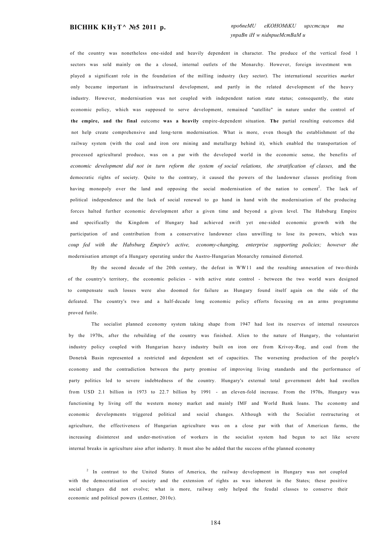#### **BICHHK KHyT^ №5 2011 p.**

of the country was nonetheless one-sided and heavily dependent in character. The produce of the vertical food 1 sectors was sold mainly on the a closed, internal outlets of the Monarchy. However, foreign investment wm played a significant role in the foundation of the milling industry (key sector). The international securities *market*  only became important in infrastructural development, and partly in the related development of the heavy industry. However, modernisation was not coupled with independent nation state status; consequently, the state economic policy, which was supposed to serve development, remained "satellite" in nature under the control of **the empire, and the final** outcome **was a heavily** empire-dependent situation. **The** partial resulting outcomes did not help create comprehensive and long-term modernisation. What is more, even though the establishment of the railway system (with the coal and iron ore mining and metallurgy behind it), which enabled the transportation of processed agricultural produce, was on a par with the developed world in the economic sense, the benefits of *economic development did not in turn reform the system of social relations, the stratification of classes,* and the democratic rights of society. Quite to the contrary, it caused the powers of the landowner classes profiting from having monopoly over the land and opposing the social modernisation of the nation to cement<sup>2</sup>. The lack of political independence and the lack of social renewal to go hand in hand with the modernisation of the producing forces halted further economic development after a given time and beyond a given level. The Habsburg Empire and specifically the Kingdom of Hungary had achieved swift yet one-sided economic growth with the participation of and contribution from a conservative landowner class unwilling to lose its powers, which was *coup fed with the Habsburg Empire's active, economy-changing, enterprise supporting policies; however the*  modernisation attempt of a Hungary operating under the Austro-Hungarian Monarchy remained distorted.

By the second decade of the 20th century, the defeat in WW11 and the resulting annexation of two-thirds of the country's territory, the economic policies - with active state control - between the two world wars designed to compensate such losses were also doomed for failure as Hungary found itself again on the side of the defeated. The country's two and a half-decade long economic policy efforts focusing on an arms programme proved futile.

The socialist planned economy system taking shape from 1947 had lost its reserves of internal resources by the 1970s, after the rebuilding of the country was finished. Alien to the nature of Hungary, the voluntarist industry policy coupled with Hungarian heavy industry built on iron ore from Krivoy-Rog, and coal from the Donetsk Basin represented a restricted and dependent set of capacities. The worsening production of the people's economy and the contradiction between the party promise of improving living standards and the performance of party politics led to severe indebtedness of the country. Hungary's external total government debt had swollen from USD 2.1 billion in 1973 to 22.7 billion by 1991 - an eleven-fold increase. From the 1970s, Hungary was functioning by living off the western money market and mainly IMF and World Bank loans. The economy and economic developments triggered political and social changes. Although with the Socialist restructuring ot agriculture, the effectiveness of Hungarian agriculture was on a close par with that of American farms, the increasing disinterest and under-motivation of workers in the socialist system had begun to act like severe internal breaks in agriculture aiso after industry. It must also be added that the success of the planned economy

<sup>2</sup> In contrast to the United States of America, the railway development in Hungary was not coupled with the democratisation of society and the extension of rights as was inherent in the States; these positive social changes did not evolve; what is more, railway only helped the feudal classes to conserve their economic and political powers (Lentner, 2010c).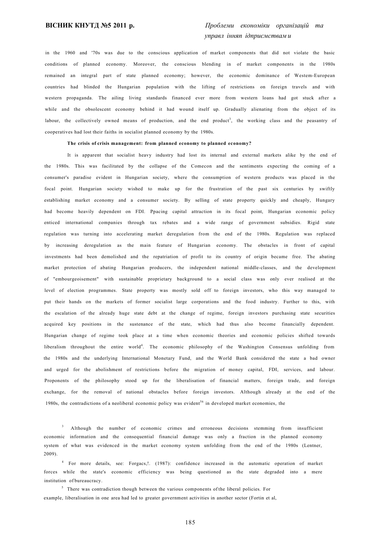in the 1960 and '70s was due to the conscious application of market components that did not violate the basic conditions of planned economy. Moreover, the conscious blending in of market components in the 1980s remained an integral part of state planned economy; however, the economic dominance of Westem-European countries had blinded the Hungarian population with the lifting of restrictions on foreign travels and with western propaganda. The ailing living standards financed ever more from western loans had got stuck after a while and the obsolescent economy behind it had wound itself up. Gradually alienating from the object of its labour, the collectively owned means of production, and the end product<sup>3</sup>, the working class and the peasantry of cooperatives had lost their faiths in socialist planned economy by the 1980s.

#### **The crisis of crisis management: from planned economy to planned economy?**

It is apparent that socialist heavy industry had lost its internal and external markets alike by the end of the 1980s. This was facilitated by the collapse of the Comecon and the sentiments expecting the coming of a consumer's paradise evident in Hungarian society, where the consumption of western products was placed in the focal point. Hungarian society wished to make up for the frustration of the past six centuries by swiftly establishing market economy and a consumer society. By selling of state property quickly and cheaply, Hungary had become heavily dependent on FDI. Ppacing capital attraction in its focal point, Hungarian economic policy enticed international companies through tax rebates and a wide range of government subsidies. Rigid state regulation was turning into accelerating market deregulation from the end of the 1980s. Regulation was replaced by increasing deregulation as the main feature of Hungarian economy. The obstacles in front of capital investments had been demolished and the repatriation of profit to its country of origin became free. The abating market protection of abating Hungarian producers, the independent national middle-classes, and the development of "embourgeoisement" with sustainable proprietary background to a social class was only ever realised at the level of election programmes. State property was mostly sold off to foreign investors, who this way managed to put their hands on the markets of former socialist large corporations and the food industry. Further to this, with the escalation of the already huge state debt at the change of regime, foreign investors purchasing state securities acquired key positions in the sustenance of the state, which had thus also become financially dependent. Hungarian change of regime took place at a time when economic theories and economic policies shifted towards liberalism throughout the entire world<sup>4</sup>. The economic philosophy of the Washington Consensus unfolding from the 1980s and the underlying International Monetary Fund, and the World Bank considered the state a bad owner and urged for the abolishment of restrictions before the migration of money capital, FDI, services, and labour. Proponents of the philosophy stood up for the liberalisation of financial matters, foreign trade, and foreign exchange, for the removal of national obstacles before foreign investors. Although already at the end of the 1980s, the contradictions of a neoliberal economic policy was evident<sup>56</sup> in developed market economies, the

3 Although the number of economic crimes and erroneous decisions stemming from insufficient economic information and the consequential financial damage was only a fraction in the planned economy system of what was evidenced in the market economy system unfolding from the end of the 1980s (Lentner, 2009).

4 For more details, see: Forgacs,!. (1987): confidence increased in the automatic operation of market forces while the state's economic efficiency was being questioned as the state degraded into a mere institution of bureaucracy.

 $5$  There was contradiction though between the various components of the liberal policies. For example, liberalisation in one area had led to greater government activities in another sector (Fortin et al,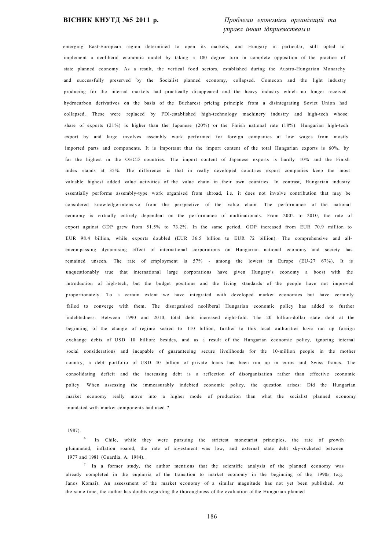#### **ВІСНИК КНУТД №5 2011 р.** *Проблеми економіки організацій та*

# *управл інняп ідприємствам и*

emerging East-European region determined to open its markets, and Hungary in particular, still opted to implement a neoliberal economic model by taking a 180 degree turn in complete opposition of the practice of state planned economy. As a result, the vertical food sectors, established during the Austro-Hungarian Monarchy and successfully preserved by the Socialist planned economy, collapsed. Comecon and the light industry producing for the internal markets had practically disappeared and the heavy industry which no longer received hydrocarbon derivatives on the basis of the Bucharest pricing principle from a disintegrating Soviet Union had collapsed. These were replaced by FDl-established high-technology machinery industry and high-tech whose share of exports (21%) is higher than the Japanese (20%) or the Finish national rate (18%). Hungarian high-tech export by and large involves assembly work performed for foreign companies at low wages from mostly imported parts and components. It is important that the import content of the total Hungarian exports is 60%, by far the highest in the OECD countries. The import content of Japanese exports is hardly 10% and the Finish index stands at 35%. The difference is that in really developed countries export companies keep the most valuable highest added value activities of the value chain in their own countries. In contrast, Hungarian industry essentially performs assembly-type work organised from abroad, i.e. it does not involve contribution that may be considered knowledge-intensive from the perspective of the value chain. The performance of the national economy is virtually entirely dependent on the performance of multinationals. From 2002 to 2010, the rate of export against GDP grew from 51.5% to 73.2%. In the same period, GDP increased from EUR 70.9 million to EUR 98.4 billion, while exports doubled (EUR 36.5 billion to EUR 72 billion). The comprehensive and allencompassing dynamising effect of international corporations on Hungarian national economy and society has remained unseen. The rate of employment is 57% - among the lowest in Europe (EU-27 67%). It is unquestionably true that international large corporations have given Hungary's economy a boost with the introduction of high-tech, but the budget positions and the living standards of the people have not improved proportionately. To a certain extent we have integrated with developed market economies but have certainly failed to converge with them. The disorganised neoliberal Hungarian economic policy has added to further indebtedness. Between 1990 and 2010, total debt increased eight-fold. The 20 billion-dollar state debt at the beginning of the change of regime soared to 110 billion, further to this local authorities have run up foreign exchange debts of USD 10 billion; besides, and as a result of the Hungarian economic policy, ignoring internal social considerations and incapable of guaranteeing secure livelihoods for the 10-million people in the mother country, a debt portfolio of USD 40 billion of private loans has been run up in euros and Swiss francs. The consolidating deficit and the increasing debt is a reflection of disorganisation rather than effective economic policy. When assessing the immeasurably indebted economic policy, the question arises: Did the Hungarian market economy really move into a higher mode of production than what the socialist planned economy inundated with market components had used ?

#### 1987).

6 In Chile, while they were pursuing the strictest monetarist principles, the rate of growth plummeted, inflation soared, the rate of investment was low, and external state debt sky-rocketed between 1977 and 1981 (Guardia, A. 1984).

7 In a former study, the author mentions that the scientific analysis of the planned economy was already completed in the euphoria of the transition to market economy in the beginning of the 1990s (e.g. Janos Komai). An assessment of the market economy of a similar magnitude has not yet been published. At the same time, the author has doubts regarding the thoroughness of the evaluation of the Hungarian planned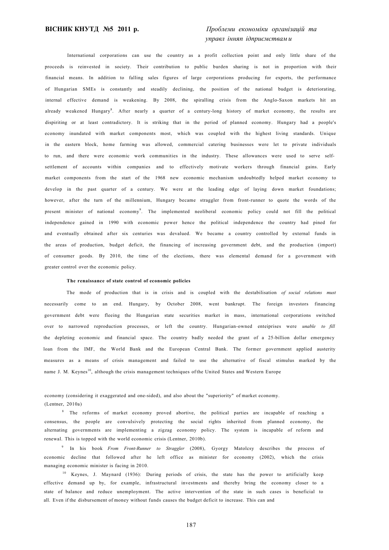International corporations can use the country as a profit collection point and only little share of the proceeds is reinvested in society. Their contribution to public burden sharing is not in proportion with their financial means. In addition to falling sales figures of large corporations producing for exports, the performance of Hungarian SMEs is constantly and steadily declining, the position of the national budget is deteriorating, internal effective demand is weakening. By 2008, the spiralling crisis from the Anglo-Saxon markets hit an already weakened Hungary<sup>8</sup>. After nearly a quarter of a century-long history of market economy, the results are dispiriting or at least contradictory. It is striking that in the period of planned economy. Hungary had a people's economy inundated with market components most, which was coupled with the highest living standards. Unique in the eastern block, home farming was allowed, commercial catering businesses were let to private individuals to run, and there were economic work communities in the industry. These allowances were used to serve selfsettlement of accounts within companies and to effectively motivate workers through financial gains. Early market components from the start of the 1968 new economic mechanism undoubtedly helped market economy to develop in the past quarter of a century. We were at the leading edge of laying down market foundations; however, after the turn of the millennium, Hungary became straggler from front-runner to quote the words of the present minister of national economy<sup>9</sup>. The implemented neoliberal economic policy could not fill the political independence gained in 1990 with economic power hence the political independence the country had pined for and eventually obtained after six centuries was devalued. We became a country controlled by external funds in the areas of production, budget deficit, the financing of increasing government debt, and the production (import) of consumer goods. By 2010, the time of the elections, there was elemental demand for a government with greater control over the economic policy.

#### **The renaissance of state control of economic policies**

The mode of production that is in crisis and is coupled with the destabilisation *of social relations must*  necessarily come to an end. Hungary, by October 2008, went bankrupt. The foreign investors financing government debt were fleeing the Hungarian state securities market in mass, international corporations switched over to narrowed reproduction processes, or left the country. Hungarian-owned enteiprises were *unable to fill*  the depleting economic and financial space. The country badly needed the grant of a 25-billion dollar emergency loan from the IMF, the World Bank and the European Central Bank. The former government applied austerity measures as a means of crisis management and failed to use the alternative of fiscal stimulus marked by the name J. M. Keynes<sup>10</sup>, although the crisis management techniques of the United States and Western Europe

economy (considering it exaggerated and one-sided), and also about the "superiority" of market economy. (Lentner, 2010a)

<sup>8</sup> The reforms of market economy proved abortive, the political parties are incapable of reaching a consensus, the people are convulsively protecting the social rights inherited from planned economy, the alternating governments are implementing a zigzag economy policy. The system is incapable of reform and renewal. This is topped with the world economic crisis (Lentner, 2010b).

9 In his book *From Front-Runner to Straggler* (2008), Gyorgy Matolcsy describes the process of economic decline that followed after he left office as minister for economy (2002), which the crisis managing economic minister is facing in 2010.

<sup>10</sup> Keynes, J. Maynard (1936): During periods of crisis, the state has the power to artificially keep effective demand up by, for example, infrastructural investments and thereby bring the economy closer to a state of balance and reduce unemployment. The active intervention of the state in such cases is beneficial to all. Even if the disbursement of money without funds causes the budget deficit to increase. This can and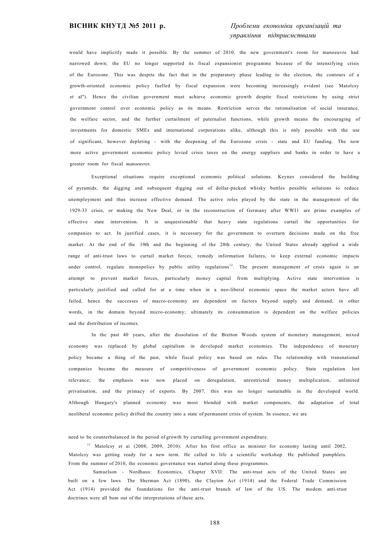would have implicitly made it possible. By the summer of 2010, the new government's room for manoeuvre had narrowed down; the EU no longer supported its fiscal expansionist programme because of the intensifying crisis of the Eurozone. This was despite the fact that in the preparatory phase leading to the election, the contours of a growth-oriented economic policy fuelled by fiscal expansion were becoming increasingly evident (see Matolcsy et al"). Hence the civilian government must achieve economic growth despite fiscal restrictions by using strict government control over economic policy as its means. Restriction serves the rationalisation of social insurance, the welfare sector, and the further curtailment of paternalist functions, while growth means the encouraging of investments for domestic SMEs and international corporations alike, although this is only possible with the use of significant, however depleting - with the deepening of the Eurozone crisis - state and EU funding. The now more active government economic policy levied crisis taxes on the energy suppliers and banks in order to have a greater room for fiscal *manoeuvres.* 

Exceptional situations require exceptional economic political solutions. Keynes considered the building of pyramids, the digging and subsequent digging out of dollar-packed whisky bottles possible solutions to reduce unemployment and thus increase effective demand. The active roles played by the state in the management of the 1929-33 crisis, or making the New Deal, or in the reconstruction of Germany after WWI1 are prime examples of effective state intervention. It is unquestionable that heavy state regulations curtail the opportunities for companies to act. In justified cases, it is necessary for the government to overturn decisions made on the free market. At the end of the 19th and the beginning of the 20th century, the United States already applied a wide range of anti-trust laws to curtail market forces, remedy information failures, to keep external economic impacts under control, regulate monopolies by public utility regulations<sup>12</sup>. The present management of crisis again is an attempt to prevent market forces, particularly money capital from multiplying. Active state intervention is particularly justified and called for at a time when in a neo-liberal economic space the market actors have all failed, hence the successes of macro-economy are dependent on factors beyond supply and demand, in other words, in the domain beyond micro-economy; ultimately its consummation is dependent on the welfare policies and the distribution of incomes.

In the past 40 years, after the dissolution of the Bretton Woods system of monetary management, mixed economy was replaced by global capitalism in developed market economies. The independence of monetary policy became a thing of the past, while fiscal policy was based on rules. The relationship with transnational companies became the measure of competitiveness of government economic policy. State regulation lost relevance; the emphasis was now placed on deregulation, unrestricted money multiplication, unlimited privatisation, and the primacy of exports. By 2007, this was no longer sustainable in the developed world. Although Hungary's planned economy was most blended with market components, the adaptation of total neoliberal economic policy drifted the country into a state of permanent crisis of system. In essence, we are

need to be counterbalanced in the period of growth by curtailing government expenditure.

<sup>11</sup> Matolcsy et ai (2008, 2009, 2010): After his first office as minister for economy lasting until 2002, Matolcsy was getting ready for a new term. He called to life a scientific workshop. He published pamphlets. From the summer of 2010, the economic governance was started along these programmes.

Samuelson - Nordhaus: Economics, Chapter XVII: The anti-trust acts of the United States are built on a few laws. The Sherman Act (1890), the Clayton Act (1914) and the Federal Trade Commission Act (1914) provided the foundations for the anti-trust branch of law of the US. The modem anti-trust doctrines were all bom out of the interpretations of these acts.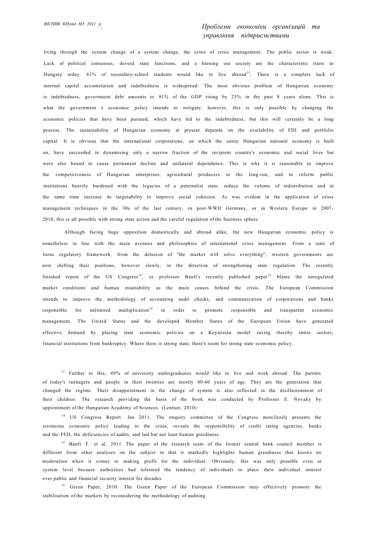### *. Проблеми економіки організацій та управління підприємствами*

living through the system change of a system change, the crisis of crisis management. The public sector is weak. Lack of political consensus, devoid state functions, and a burning out society are the characteristic traits in Hungary today. 61% of secondary-school students would like to live abroad<sup>13</sup>. There is a complete lack of internal capital accumulation and indebtedness is widespread. The most obvious problem of Hungarian economy is indebtedness, government debt amounts to 81% of the GDP rising by 25% in the past 8 years alone. This is what the government s economic policy intends to mitigate; however, this is only possible by changing the economic policies that have been pursued, which have led to the indebtedness, but this will certainly be a long process. The sustainability of Hungarian economy at present depends on the availability of FDI and portfolio capital. It is obvious that the international corporations, on which the entire Hungarian national economy is built on, have succeeded in dynamising only a narrow fraction of the recipient country's economic and social lives but were also bound to cause permanent decline and unilateral dependence. This is why it is reasonable to improve the competitiveness of Hungarian enterprises, agricultural producers in the long-run, and to reform public institutions heavily burdened with the legacies of a paternalist state, reduce the volume of redistribution and at the same time increase its targetability to improve social cohesion. As was evident in the application of crisis management techniques in the 30s of the last century, in post-WWII Germany, or in Western Europe in 2007- 2010, this is all possible with strong state action and the careful regulation of the business sphere.

Although facing huge opposition domestically and abroad alike, the new Hungarian economic policy is nonetheless in line with the main avenues and philosophies of international crisis management. From a state of loose regulatory framework, from the delusion of "the market will solve everything", western governments are now shifting their positions, however slowly, in the direction of strengthening state regulation. The recently finished report of the US Congress<sup>14</sup>, or professor Banfi's recently published paper<sup>15</sup> blame the unregulated market conditions and human insatiability as the main causes behind the crisis. The European Commission intends to improve the methodology of accounting audit checks, and communication of corporations and banks  $r$ esponsible for unlimited multiplication<sup>16</sup> in order to promote responsible and transparent economic management. The United States and the developed Member States of the European Union have generated effective demand by placing state economic policies on a Keynesian model saving thereby entire sectors, financial institutions from bankruptcy. Where there is strong state, there's room for strong state economic policy.

<sup>13</sup> Further to this, 49% of university undergraduates would like to live and work abroad. The parents of today's teenagers and people in their twenties are mostly 40-60 years of age. They are the generation that changed the regime. Their disappointment in the change of system is also reflected in the disillusionment of their children. The research providing the basis of the book was conducted by Professor E. Novaky by appointment of the Hungarian Academy of Sciences. (Lentner, 2010)

<sup>14</sup> US Congress Report. Jan 2011, The enquiry committee of the Congress mercilessly presents the erroneous economic policy leading to the crisis, reveals the responsibility of credit rating agencies, banks and the FED, the deficiencies of audits, and last but not least human greediness.

<sup>15</sup> Banfi T. et al, 2011 The paper of the research team of the former central bank council member is different from other analyses on the subject in that it markedly highlights human greediness that knows no moderation when it comes to making profit for the individual. Obviously, this was only possible even at system level because authorities had tolerated the tendency of individuals to place their individual interest over public and financial security interest for decades.

<sup>16</sup> Green Paper, 2010: The Green Paper of the European Commission may effectively promote the stabilisation of the markets by reconsidering the methodology of auditing.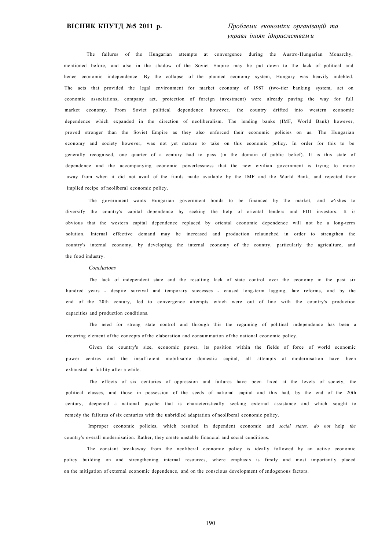# *управл інняп ідприємствам и*

The failures of the Hungarian attempts at convergence during the Austro-Hungarian Monarchy, mentioned before, and also in the shadow of the Soviet Empire may be put down to the lack of political and hence economic independence. By the collapse of the planned economy system, Hungary was heavily indebted. The acts that provided the legal environment for market economy of 1987 (two-tier banking system, act on economic associations, company act, protection of foreign investment) were already paving the way for full market economy. From Soviet political dependence however, the country drifted into western economic dependence which expanded in the direction of neoliberalism. The lending banks (IMF, World Bank) however, proved stronger than the Soviet Empire as they also enforced their economic policies on us. The Hungarian economy and society however, was not yet mature to take on this economic policy. In order for this to be generally recognised, one quarter of a century had to pass (in the domain of public belief). It is this state of dependence and the accompanying economic powerlessness that the new civilian government is trying to move away from when it did not avail of the funds made available by the IMF and the World Bank, and rejected their implied recipe of neoliberal economic policy.

The government wants Hungarian government bonds to be financed by the market, and w'ishes to diversify the country's capital dependence by seeking the help of oriental lenders and FDI investors. It is obvious that the western capital dependence replaced by oriental economic dependence will not be a long-term solution. Internal effective demand may be increased and production relaunched in order to strengthen the country's internal economy, by developing the internal economy of the country, particularly the agriculture, and the food industry.

#### *Conclusions*

The lack of independent state and the resulting lack of state control over the economy in the past six hundred years - despite survival and temporary successes - caused long-term lagging, late reforms, and by the end of the 20th century, led to convergence attempts which were out of line with the country's production capacities and production conditions.

The need for strong state control and through this the regaining of political independence has been a recurring element of the concepts of the elaboration and consummation of the national economic policy.

Given the country's size, economic power, its position within the fields of force of world economic power centres and the insufficient mobilisable domestic capital, all attempts at modernisation have been exhausted in futility after a while.

The effects of six centuries of oppression and failures have been fixed at the levels of society, the political classes, and those in possession of the seeds of national capital and this had, by the end of the 20th century, deepened a national psyche that is characteristically seeking external assistance and which sought to remedy the failures of six centuries with the unbridled adaptation of neoliberal economic policy.

Improper economic policies, which resulted in dependent economic and *social states, do not* help *the*  country's overall modernisation. Rather, they create unstable financial and social conditions.

The constant breakaway from the neoliberal economic policy is ideally followed by an active economic policy building on and strengthening internal resources, where emphasis is firstly and most importantly placed on the mitigation of external economic dependence, and on the conscious development of endogenous factors.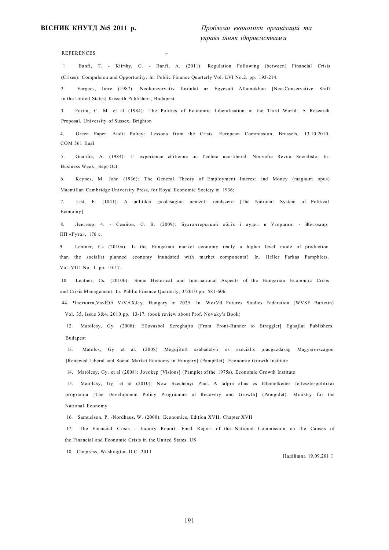**REFERENCES** 

1. Banfi, Т. - Kiirthy, G. - Banfi, А. (2011): Regulation Following (between) Financial Crisis (Crises): Compulsion and Opportunity. In. Public Finance Quarterly Vol. LVI No.2. pp. 193-214.

2. Forgacs, Imre (1987): Neokonzervativ fordulat az Egyesult Allamokban [Neo-Conservative Shift in the United States] Kossuth Publishers, Budapest

3. Fortin, С. M. et al (1984): The Politics of Economic Liberalisation in the Third World: A Research Proposal. University of Sussex, Brighton

4. Green Paper. Audit Policy: Lessons from the Crisis. European Commission, Brussels, 13.10.2010. COM 561 final

5. Guardia, A. (1984): L' experience chilienne ou l'echec neo-liberal. Nouvelie Revue Socialiste. In. Business Week, Sept-Oct.

6. Keynes, M. John (1936): The General Theory of Employment Interest and Money (magnum opus) Macmillan Cambridge University Press, for Royal Economic Society in 1936;

7. List, F. (1841): A politikai gazdasagtan nemzeti rendszere [The National System of Political Economy]

8. Лентнер, 4. - Семйон, С. В. (2009): Бухгалтерський облік і аудит в Угорщині - Житомир: ПП «Рута», 176 с.

9. Lentner, Cs (2010а): Is the Hungarian market economy really a higher level mode of production than the socialist planned economy inundated with market components? In. Heller Farkas Pamphlets, Vol. VIII. No. 1. pp. 10-17.

10. Lentner, Cs. (2010b): Some Historical and International Aspects of the Hungarian Economic Crisis and Crisis Management. In. Public Finance Quarterly, 3/2010 pp. 581-606.

44. Члсткнта,VsvlOA ViVAXJcy. Hungary in 2025. In. WorVd Futures Studies Federation (WVSF Buttetin) Vol. 35, Issue 3&4, 2010 pp. 13-17. (book review about Prof. Novaky's Book)

12. Matolcsy, Gy. (2008): Ellovasbol Sereghajto [From Front-Runner to Straggler] Eghajlat Publishers. Budapest

13. Matolcs, Gy et al. (2008) Megujitott szabadelvii es szocialis piacgazdasag Magyarorszagon [Renewed Liberal and Social Market Economy in Hungary] (Pamphlet). Economic Growth Institute

14. Matolcsy, Gy. et al (2008): Jovokep [Visions] (Pamplet of the 1975s). Economic Growth Institute

15. Matolcsy, Gy. et al (2010): New Szechenyi Plan. A talpra alias es felemelkedes fejlesztespolitikai programja [The Development Policy Programme of Recovery and Growth] (Pamphlet). Ministry for the National Economy

16. Samuelson, P. -Nordhaus, W. (2000): Economics, Edition XVII, Chapter XVII

17. The Financial Crisis - Inquiry Report. Final Report of the National Commission on the Causes of the Financial and Economic Crisis in the United States. US

18. Congress, Washington D.C. 2011

Надійшла 19.09.201 I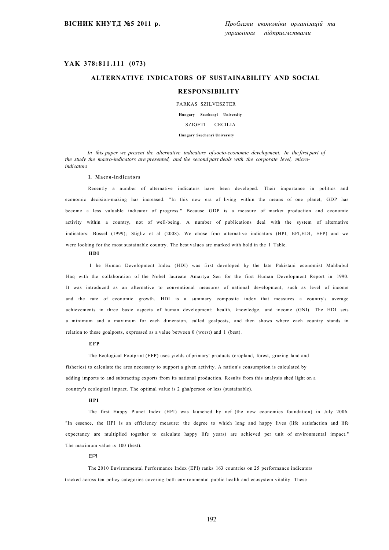#### **YAK 378:811.111 (073)**

## **ALTERNATIVE INDICATORS OF SUSTAINABILITY AND SOCIAL RESPONSIBILITY**

FARKAS SZILVESZTER **Hungary Szechenyi University**  SZIGETI CECILIA **Hungary Szechenyi University** 

*In this paper we present the alternative indicators of socio-economic development. In the first part of the study the macro-indicators are presented, and the second part deals with the corporate level, microindicators* 

#### **I. Macro-indicator s**

Recently a number of alternative indicators have been developed. Their importance in politics and economic decision-making has increased. "In this new era of living within the means of one planet, GDP has become a less valuable indicator of progress." Because GDP is a measure of market production and economic activity within a country, not of well-being. A number of publications deal with the system of alternative indicators: Bossel (1999); Stigliz et al (2008). We chose four alternative indicators (HPI, EPI,HDI, EFP) and we were looking for the most sustainable country. The best values are marked with bold in the 1 Table.

#### **H DI**

I he Human Development Index (HDI) was first developed by the late Pakistani economist Mahbubul Haq with the collaboration of the Nobel laureate Amartya Sen for the first Human Development Report in 1990. It was introduced as an alternative to conventional measures of national development, such as level of income and the rate of economic growth. HDI is a summary composite index that measures a country's average achievements in three basic aspects of human development: health, knowledge, and income (GNI). The HDI sets a minimum and a maximum for each dimension, called goalposts, and then shows where each country stands in relation to these goalposts, expressed as a value between 0 (worst) and 1 (best).

#### **EFP**

The Ecological Footprint (EFP) uses yields of primary' products (cropland, forest, grazing land and fisheries) to calculate the area necessary to support a given activity. A nation's consumption is calculated by adding imports to and subtracting exports from its national production. Results from this analysis shed light on a country's ecological impact. The optimal value is 2 gha/person or less (sustainable).

#### **HPI**

The first Happy Planet Index (HPI) was launched by nef (the new economics foundation) in July 2006. "In essence, the HPI is an efficiency measure: the degree to which long and happy lives (life satisfaction and life expectancy are multiplied together to calculate happy life years) are achieved per unit of environmental impact." The maximum value is 100 (best).

#### EP!

The 2010 Environmental Performance Index (EPI) ranks 163 countries on 25 performance indicators tracked across ten policy categories covering both environmental public health and ecosystem vitality. These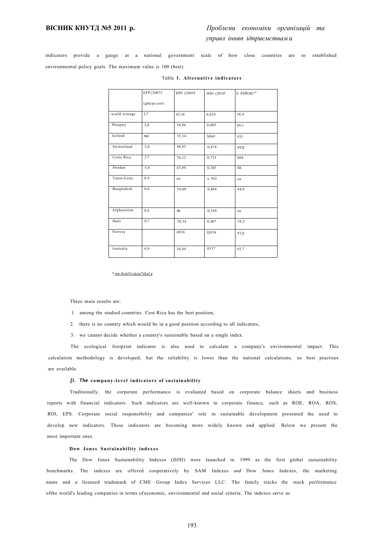indicators provide a gauge at a national government scale of how close countries are to established environmental policy goals. The maximum value is 100 (best).

|               | EFP{2007f      | HPI (2005f)      | HDt (2010 <sup>s</sup> ) | Е РІЙОК* <sup>4</sup> |
|---------------|----------------|------------------|--------------------------|-----------------------|
|               | (gha/pe; sorr) |                  |                          |                       |
| world average | 2,7            | 43,3£            | 0,624                    | 58,4                  |
| Hungary       | 3,0            | 38,86            | 0,805                    | 69,1                  |
| Iceland       | na             | 35,14            | \$869                    | 935                   |
| Switzerland   | 5,0            | 48,05            | 0,874                    | 89Д                   |
| Costa Rica    | 2.7            | 76,12            | 0,725                    | 864                   |
| Sweden        | 5,9            | 47,99            | 0,385                    | 86                    |
| Timor-Leste   | 0.4            | na               | a 502                    | па                    |
| Bangladesh    | 0.6            | 54,09            | 0,469                    | 44,0                  |
| Afghanistan   | 0.6            | $\boldsymbol{m}$ | 0,349                    | па                    |
| Haiti         | 0,7            | 50,34            | $0.40*$                  | 39,5                  |
| Norway        |                | 4036             | Ц938                     | 81 <sub>Д</sub>       |
| Australia     | 6,8            | 36,64            | 0337                     | 65,7                  |

#### Table **1. Alternative indicator s**

\* ww. fo-st *m* r.tn ay\*rk a? g

Three main results are:

- 1. among the studied countries. Cost Rica has the best position,
- 2. there is no country which would be in a good position according to all indicators,
- 3. we cannot decide whether a country's sustainable based on a single index.

The ecological footprint indicator is also used to calculate a company's environmental impact. This calculation methodology is developed, but the reliability is lower than the national calculations, so best practises are available.

#### *[I. The* **company-leve l indicator s of sustainability**

Traditionally, the corporate performance is evaluated based on corporate balance sheets and business reports with financial indicators. Such indicators are well-known in corporate finance, such as ROE, ROA, ROS, ROl, EPS. Corporate social responsibility and companies' role in sustainable development presented the need to develop new indicators. These indicators are becoming more widely known and applied. Below we present the most important ones.

#### **Dow Jones Sustainability indexes**

The Dow Jones Sustainability Indexes (DJSI) were launched in 1999 as the first global sustainability benchmarks. The indexes are offered cooperatively by SAM Indexes *and* Dow Jones Indexes, the marketing name and a licensed trademark of CME Group Index Services LLC. The family tracks the stock performance ofthe world's leading companies in terms of economic, environmental and social criteria. The indexes serve as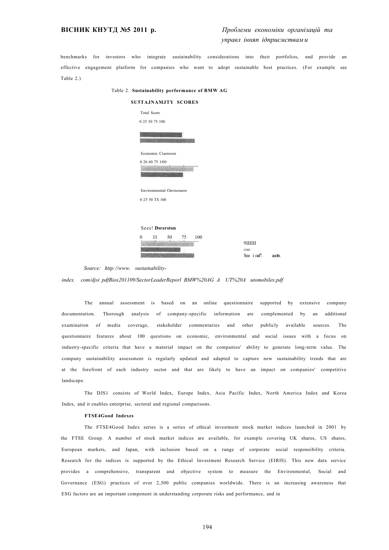aecttx

benchmarks for investors who integrate sustainability considerations into their portfolios, and provide an effective engagement platform for companies who want to adopt sustainable best practices. (For example see Table 2.)

Table 2. **Sustainability performance of BMW AG** 

| <b>SU5TAJNAMJTY SCORES</b>                 |             |
|--------------------------------------------|-------------|
| <b>Total Score</b>                         |             |
| 0 25 50 75 100                             |             |
|                                            |             |
| Economic Ctaension                         |             |
| 0 26 60 75 1 ® 0                           |             |
|                                            |             |
| Environmental Овтпепвоп                    |             |
| 0 25 50 TS 100                             |             |
|                                            |             |
| Sees! Dsrerston                            |             |
| $_{\rm II}$<br>75<br>100<br>50<br>$\Omega$ |             |
|                                            | 9ШШ         |
|                                            | OMI         |
|                                            | See i oaf". |

*Source: [http://www.](http://www) sustainability-*

*index. com/djsi pdfBios201109/SectorLeaderReporl BMW%20AG A UT%20A utomobiles.pdf* 

The annual assessment is based on an online questionnaire supported by extensive company documentation. Thorough analysis of company-specific information are complemented by an additional examination of media coverage, stakeholder commentaries and other publicly available sources. The questionnaire features about 100 questions on economic, environmental and social issues with a focus on industry-specific criteria that have a material impact on the companies' ability to generate long-term value. The company sustainability assessment is regularly updated and adapted to capture new sustainability trends that are at the forefront of each industry sector and that are likely to have an impact on companies' competitive landscape.

The DJS1 consists of World Index, Europe Index, Asia Pacific Index, North America Index and Korea Index, and it enables enterprise, sectoral and regional comparisons.

#### **FTSE4Good Indexes**

The FTSE4Good Index series is a series of ethical investment stock market indices launched in 2001 by the FTSE Group. A number of stock market indices are available, for example covering UK shares, US shares, European markets, and Japan, with inclusion based on a range of corporate social responsibility criteria. Research for the indices is supported by the Ethical Investment Research Service (EIRIS). This new data service provides a comprehensive, transparent and objective system to measure the Environmental, Social and Governance (ESG) practices of over 2,300 public companies worldwide. There is an increasing awareness that ESG factors are an important component in understanding corporate risks and performance, and in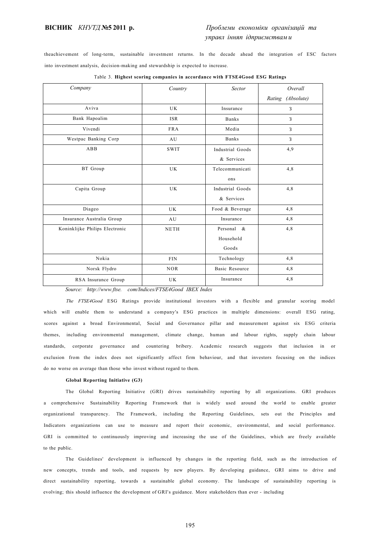theachievement of long-term, sustainable investment returns. In the decade ahead the integration of ESC factors into investment analysis, decision-making and stewardship is expected to increase.

| Company                        | Country     | Sector                | Overall           |
|--------------------------------|-------------|-----------------------|-------------------|
|                                |             |                       | Rating (Absolute) |
| Aviva                          | <b>UK</b>   | Insurance             | 3                 |
| Bank Hapoalim                  | <b>ISR</b>  | <b>Banks</b>          | 3                 |
| Vivendi                        | <b>FRA</b>  | Media                 | 3                 |
| Westpac Banking Corp           | AU          | <b>Banks</b>          | 3                 |
| ABB                            | <b>SWIT</b> | Industrial Goods      | 4,9               |
|                                |             | & Services            |                   |
| BT Group                       | UK          | Telecommunicati       | 4,8               |
|                                |             | ons                   |                   |
| Capita Group                   | <b>UK</b>   | Industrial Goods      | 4,8               |
|                                |             | & Services            |                   |
| Diageo                         | UK          | Food & Beverage       | 4,8               |
| Insurance Australia Group      | AU          | Insurance             | 4,8               |
| Koninklijke Philips Electronic | <b>NETH</b> | Personal &            | 4,8               |
|                                |             | Household             |                   |
|                                |             | Goods                 |                   |
| Nokia                          | <b>FIN</b>  | Technology            | 4,8               |
| Norsk Flydro                   | <b>NOR</b>  | <b>Basic Resource</b> | 4,8               |
| RSA Insurance Group            | UK          | Insurance             | 4,8               |

Table 3. **Highest scoring companies in accordance with FTSE4Good ESG Ratings** 

*Source: [http://www.ftse.](http://www.ftse) com/Indices/FTSE4Good IBEX Index* 

*The FTSE4Good* ESG Ratings provide institutional investors with a flexible and granular scoring model which will enable them to understand a company's ESG practices in multiple dimensions: overall ESG rating, scores against a broad Environmental, Social and Governance pillar and measurement against six ESG criteria themes, including environmental management, climate change, human and labour rights, supply chain labour standards, corporate governance and countering bribery. Academic research suggests that inclusion in or exclusion from the index does not significantly affect firm behaviour, and that investors focusing on the indices do no worse on average than those who invest without regard to them.

#### **Global Reporting Initiative (G3)**

The Global Reporting Initiative (GRI) drives sustainability reporting by all organizations. GRI produces a comprehensive Sustainability Reporting Framework that is widely used around the world to enable greater organizational transparency. The Framework, including the Reporting Guidelines, sets out the Principles and Indicators organizations can use to measure and report their economic, environmental, and social performance. GRI is committed to continuously improving and increasing the use of the Guidelines, which are freely available to the public.

The Guidelines' development is influenced by changes in the reporting field, such as the introduction of new concepts, trends and tools, and requests by new players. By developing guidance, GRI aims to drive and direct sustainability reporting, towards a sustainable global economy. The landscape of sustainability reporting is evolving; this should influence the development of GRI's guidance. More stakeholders than ever - including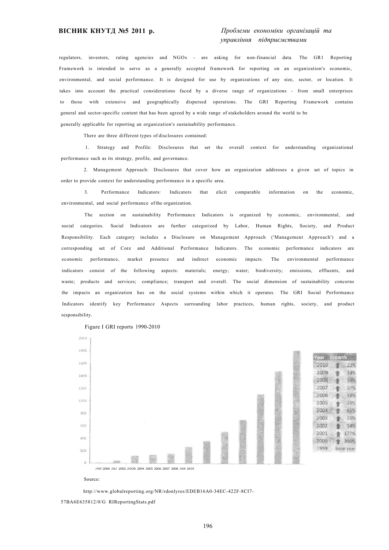regulators, investors, rating agencies and NGOs - are asking for non-financial data. The GR1 Reporting Framework is intended to serve as a generally accepted framework for reporting on an organization's economic, environmental, and social performance. It is designed for use by organizations of any size, sector, or location. It takes into account the practical considerations faced by a diverse range of organizations - from small enterprises to those with extensive and geographically dispersed operations. The GRI Reporting Framework contains general and sector-specific content that has been agreed by a wide range of stakeholders around the world to be generally applicable for reporting an organization's sustainability performance.

There are three different types of disclosures contained:

1. Strategy and Profile: Disclosures that set the overall context for understanding organizational performance such as its strategy, profile, and governance.

2. Management Approach: Disclosures that cover how an organization addresses a given set of topics in order to provide context for understanding performance in a specific area.

3. Performance Indicators: Indicators that elicit comparable information on the economic, environmental, and social performance of the organization.

The section on sustainability Performance Indicators is organized by economic, environmental, and social categories. Social Indicators are further categorized by Labor, Human Rights, Society, and Product Responsibility. Each category includes a Disclosure on Management Approach ('Management Approach') and a corresponding set of Core and Additional Performance Indicators. The economic performance indicators are economic performance, market presence and indirect economic impacts. The environmental performance indicators consist of the following aspects: materials; energy; water; biodiversity; emissions, effluents, and waste; products and services; compliance; transport and overall. The social dimension of sustainability concerns the impacts an organization has on the social systems within which it operates. The GRI Social Performance Indicators identify key Performance Aspects surrounding labor practices, human rights, society, and product responsibility.



Figure I GRI reports 1990-2010

<http://www.globalreporting.org/NR/rdonlyres/EDEB16A0-34EC-422F-8CI7->

57BA6E635812/0/G RIReportingStats.pdf

Source: